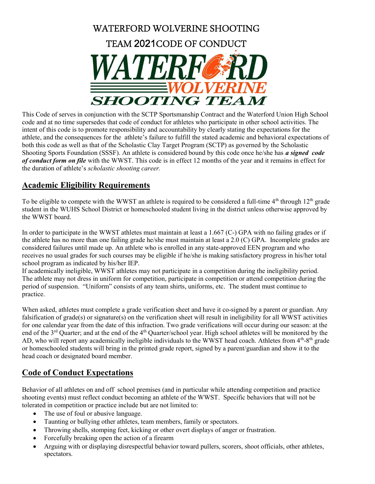

This Code of serves in conjunction with the SCTP Sportsmanship Contract and the Waterford Union High School code and at no time supersedes that code of conduct for athletes who participate in other school activities. The intent of this code is to promote responsibility and accountability by clearly stating the expectations for the athlete, and the consequences for the athlete's failure to fulfill the stated academic and behavioral expectations of both this code as well as that of the Scholastic Clay Target Program (SCTP) as governed by the Scholastic Shooting Sports Foundation (SSSF). An athlete is considered bound by this code once he/she has *a signed code* of conduct form on file with the WWST. This code is in effect 12 months of the year and it remains in effect for the duration of athlete's scholastic shooting career.

# Academic Eligibility Requirements

To be eligible to compete with the WWST an athlete is required to be considered a full-time  $4<sup>th</sup>$  through  $12<sup>th</sup>$  grade student in the WUHS School District or homeschooled student living in the district unless otherwise approved by the WWST board.

In order to participate in the WWST athletes must maintain at least a 1.667 (C-) GPA with no failing grades or if the athlete has no more than one failing grade he/she must maintain at least a 2.0 (C) GPA. Incomplete grades are considered failures until made up. An athlete who is enrolled in any state-approved EEN program and who receives no usual grades for such courses may be eligible if he/she is making satisfactory progress in his/her total school program as indicated by his/her IEP.

If academically ineligible, WWST athletes may not participate in a competition during the ineligibility period. The athlete may not dress in uniform for competition, participate in competition or attend competition during the period of suspension. "Uniform" consists of any team shirts, uniforms, etc. The student must continue to practice.

When asked, athletes must complete a grade verification sheet and have it co-signed by a parent or guardian. Any falsification of grade(s) or signature(s) on the verification sheet will result in ineligibility for all WWST activities for one calendar year from the date of this infraction. Two grade verifications will occur during our season: at the end of the 3<sup>rd</sup> Quarter; and at the end of the 4<sup>th</sup> Quarter/school year. High school athletes will be monitored by the AD, who will report any academically ineligible individuals to the WWST head coach. Athletes from 4<sup>th</sup>-8<sup>th</sup> grade or homeschooled students will bring in the printed grade report, signed by a parent/guardian and show it to the head coach or designated board member.

# Code of Conduct Expectations

Behavior of all athletes on and off school premises (and in particular while attending competition and practice shooting events) must reflect conduct becoming an athlete of the WWST. Specific behaviors that will not be tolerated in competition or practice include but are not limited to:

- The use of foul or abusive language.
- Taunting or bullying other athletes, team members, family or spectators.
- Throwing shells, stomping feet, kicking or other overt displays of anger or frustration.
- Forcefully breaking open the action of a firearm
- Arguing with or displaying disrespectful behavior toward pullers, scorers, shoot officials, other athletes, spectators.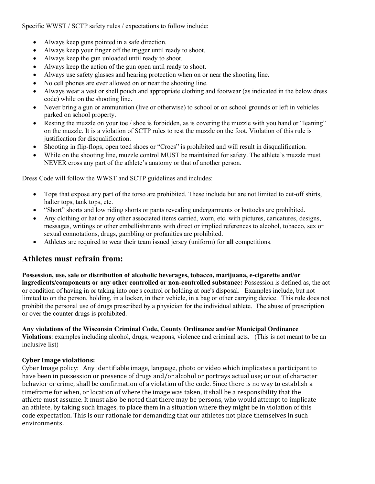Specific WWST / SCTP safety rules / expectations to follow include:

- Always keep guns pointed in a safe direction.
- Always keep your finger off the trigger until ready to shoot.
- Always keep the gun unloaded until ready to shoot.
- Always keep the action of the gun open until ready to shoot.
- Always use safety glasses and hearing protection when on or near the shooting line.
- No cell phones are ever allowed on or near the shooting line.
- Always wear a vest or shell pouch and appropriate clothing and footwear (as indicated in the below dress code) while on the shooting line.
- Never bring a gun or ammunition (live or otherwise) to school or on school grounds or left in vehicles parked on school property.
- Resting the muzzle on your toe / shoe is forbidden, as is covering the muzzle with you hand or "leaning" on the muzzle. It is a violation of SCTP rules to rest the muzzle on the foot. Violation of this rule is justification for disqualification.
- Shooting in flip-flops, open toed shoes or "Crocs" is prohibited and will result in disqualification.
- While on the shooting line, muzzle control MUST be maintained for safety. The athlete's muzzle must NEVER cross any part of the athlete's anatomy or that of another person.

Dress Code will follow the WWST and SCTP guidelines and includes:

- Tops that expose any part of the torso are prohibited. These include but are not limited to cut-off shirts, halter tops, tank tops, etc.
- "Short" shorts and low riding shorts or pants revealing undergarments or buttocks are prohibited.
- Any clothing or hat or any other associated items carried, worn, etc. with pictures, caricatures, designs, messages, writings or other embellishments with direct or implied references to alcohol, tobacco, sex or sexual connotations, drugs, gambling or profanities are prohibited.
- Athletes are required to wear their team issued jersey (uniform) for all competitions.

# Athletes must refrain from:

Possession, use, sale or distribution of alcoholic beverages, tobacco, marijuana, e-cigarette and/or ingredients/components or any other controlled or non-controlled substance: Possession is defined as, the act or condition of having in or taking into one's control or holding at one's disposal. Examples include, but not limited to on the person, holding, in a locker, in their vehicle, in a bag or other carrying device. This rule does not prohibit the personal use of drugs prescribed by a physician for the individual athlete. The abuse of prescription or over the counter drugs is prohibited.

Any violations of the Wisconsin Criminal Code, County Ordinance and/or Municipal Ordinance Violations: examples including alcohol, drugs, weapons, violence and criminal acts. (This is not meant to be an inclusive list)

## Cyber Image violations:

Cyber Image policy: Any identifiable image, language, photo or video which implicates a participant to have been in possession or presence of drugs and/or alcohol or portrays actual use; or out of character behavior or crime, shall be confirmation of a violation of the code. Since there is no way to establish a timeframe for when, or location of where the image was taken, it shall be a responsibility that the athlete must assume. It must also be noted that there may be persons, who would attempt to implicate an athlete, by taking such images, to place them in a situation where they might be in violation of this code expectation. This is our rationale for demanding that our athletes not place themselves in such environments.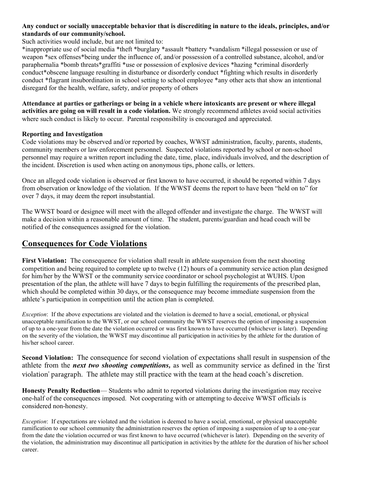### Any conduct or socially unacceptable behavior that is discrediting in nature to the ideals, principles, and/or standards of our community/school.

Such activities would include, but are not limited to:

\*inappropriate use of social media \*theft \*burglary \*assault \*battery \*vandalism \*illegal possession or use of weapon \*sex offenses\*being under the influence of, and/or possession of a controlled substance, alcohol, and/or paraphernalia \*bomb threats\*graffiti \*use or possession of explosive devices \*hazing \*criminal disorderly conduct\*obscene language resulting in disturbance or disorderly conduct \*fighting which results in disorderly conduct \*flagrant insubordination in school setting to school employee \*any other acts that show an intentional disregard for the health, welfare, safety, and/or property of others

Attendance at parties or gatherings or being in a vehicle where intoxicants are present or where illegal activities are going on will result in a code violation. We strongly recommend athletes avoid social activities where such conduct is likely to occur. Parental responsibility is encouraged and appreciated.

### Reporting and Investigation

Code violations may be observed and/or reported by coaches, WWST administration, faculty, parents, students, community members or law enforcement personnel. Suspected violations reported by school or non-school personnel may require a written report including the date, time, place, individuals involved, and the description of the incident. Discretion is used when acting on anonymous tips, phone calls, or letters.

Once an alleged code violation is observed or first known to have occurred, it should be reported within 7 days from observation or knowledge of the violation. If the WWST deems the report to have been "held on to" for over 7 days, it may deem the report insubstantial.

The WWST board or designee will meet with the alleged offender and investigate the charge. The WWST will make a decision within a reasonable amount of time. The student, parents/guardian and head coach will be notified of the consequences assigned for the violation.

## Consequences for Code Violations

First Violation: The consequence for violation shall result in athlete suspension from the next shooting competition and being required to complete up to twelve (12) hours of a community service action plan designed for him/her by the WWST or the community service coordinator or school psychologist at WUHS. Upon presentation of the plan, the athlete will have 7 days to begin fulfilling the requirements of the prescribed plan, which should be completed within 30 days, or the consequence may become immediate suspension from the athlete's participation in competition until the action plan is completed.

Exception: If the above expectations are violated and the violation is deemed to have a social, emotional, or physical unacceptable ramification to the WWST, or our school community the WWST reserves the option of imposing a suspension of up to a one-year from the date the violation occurred or was first known to have occurred (whichever is later). Depending on the severity of the violation, the WWST may discontinue all participation in activities by the athlete for the duration of his/her school career.

Second Violation: The consequence for second violation of expectations shall result in suspension of the athlete from the next two shooting competitions*,* as well as community service as defined in the 'first violation' paragraph. The athlete may still practice with the team at the head coach's discretion.

Honesty Penalty Reduction— Students who admit to reported violations during the investigation may receive one-half of the consequences imposed. Not cooperating with or attempting to deceive WWST officials is considered non-honesty.

Exception: If expectations are violated and the violation is deemed to have a social, emotional, or physical unacceptable ramification to our school community the administration reserves the option of imposing a suspension of up to a one-year from the date the violation occurred or was first known to have occurred (whichever is later). Depending on the severity of the violation, the administration may discontinue all participation in activities by the athlete for the duration of his/her school career.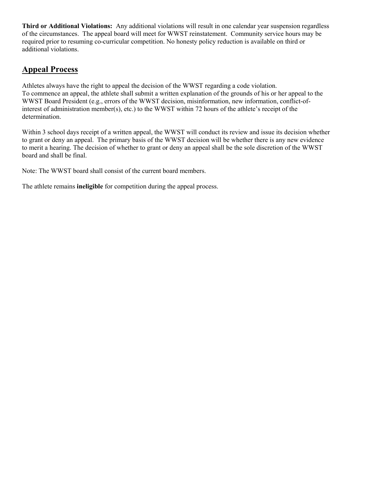Third or Additional Violations: Any additional violations will result in one calendar year suspension regardless of the circumstances. The appeal board will meet for WWST reinstatement. Community service hours may be required prior to resuming co-curricular competition. No honesty policy reduction is available on third or additional violations.

# Appeal Process

Athletes always have the right to appeal the decision of the WWST regarding a code violation. To commence an appeal, the athlete shall submit a written explanation of the grounds of his or her appeal to the WWST Board President (e.g., errors of the WWST decision, misinformation, new information, conflict-ofinterest of administration member(s), etc.) to the WWST within 72 hours of the athlete's receipt of the determination.

Within 3 school days receipt of a written appeal, the WWST will conduct its review and issue its decision whether to grant or deny an appeal. The primary basis of the WWST decision will be whether there is any new evidence to merit a hearing. The decision of whether to grant or deny an appeal shall be the sole discretion of the WWST board and shall be final.

Note: The WWST board shall consist of the current board members.

The athlete remains ineligible for competition during the appeal process.